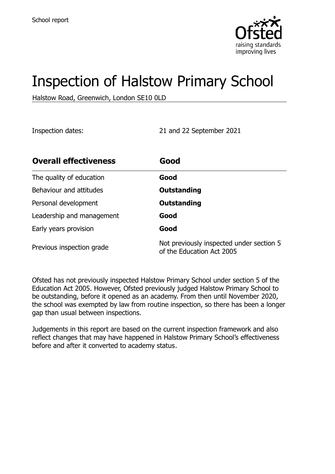

# Inspection of Halstow Primary School

Halstow Road, Greenwich, London SE10 0LD

Inspection dates: 21 and 22 September 2021

| <b>Overall effectiveness</b> | Good                                                                  |
|------------------------------|-----------------------------------------------------------------------|
| The quality of education     | Good                                                                  |
| Behaviour and attitudes      | Outstanding                                                           |
| Personal development         | Outstanding                                                           |
| Leadership and management    | Good                                                                  |
| Early years provision        | Good                                                                  |
| Previous inspection grade    | Not previously inspected under section 5<br>of the Education Act 2005 |

Ofsted has not previously inspected Halstow Primary School under section 5 of the Education Act 2005. However, Ofsted previously judged Halstow Primary School to be outstanding, before it opened as an academy. From then until November 2020, the school was exempted by law from routine inspection, so there has been a longer gap than usual between inspections.

Judgements in this report are based on the current inspection framework and also reflect changes that may have happened in Halstow Primary School's effectiveness before and after it converted to academy status.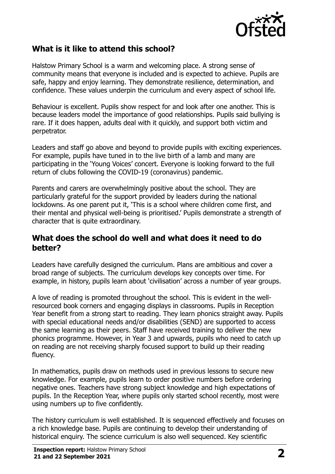

# **What is it like to attend this school?**

Halstow Primary School is a warm and welcoming place. A strong sense of community means that everyone is included and is expected to achieve. Pupils are safe, happy and enjoy learning. They demonstrate resilience, determination, and confidence. These values underpin the curriculum and every aspect of school life.

Behaviour is excellent. Pupils show respect for and look after one another. This is because leaders model the importance of good relationships. Pupils said bullying is rare. If it does happen, adults deal with it quickly, and support both victim and perpetrator.

Leaders and staff go above and beyond to provide pupils with exciting experiences. For example, pupils have tuned in to the live birth of a lamb and many are participating in the 'Young Voices' concert. Everyone is looking forward to the full return of clubs following the COVID-19 (coronavirus) pandemic.

Parents and carers are overwhelmingly positive about the school. They are particularly grateful for the support provided by leaders during the national lockdowns. As one parent put it, 'This is a school where children come first, and their mental and physical well-being is prioritised.' Pupils demonstrate a strength of character that is quite extraordinary.

#### **What does the school do well and what does it need to do better?**

Leaders have carefully designed the curriculum. Plans are ambitious and cover a broad range of subjects. The curriculum develops key concepts over time. For example, in history, pupils learn about 'civilisation' across a number of year groups.

A love of reading is promoted throughout the school. This is evident in the wellresourced book corners and engaging displays in classrooms. Pupils in Reception Year benefit from a strong start to reading. They learn phonics straight away. Pupils with special educational needs and/or disabilities (SEND) are supported to access the same learning as their peers. Staff have received training to deliver the new phonics programme. However, in Year 3 and upwards, pupils who need to catch up on reading are not receiving sharply focused support to build up their reading fluency.

In mathematics, pupils draw on methods used in previous lessons to secure new knowledge. For example, pupils learn to order positive numbers before ordering negative ones. Teachers have strong subject knowledge and high expectations of pupils. In the Reception Year, where pupils only started school recently, most were using numbers up to five confidently.

The history curriculum is well established. It is sequenced effectively and focuses on a rich knowledge base. Pupils are continuing to develop their understanding of historical enquiry. The science curriculum is also well sequenced. Key scientific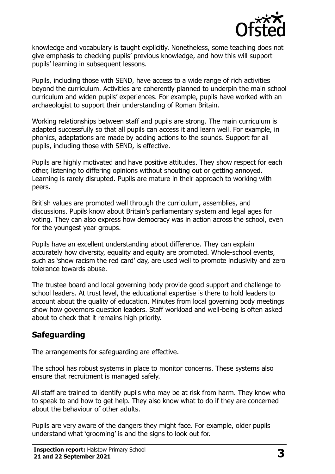

knowledge and vocabulary is taught explicitly. Nonetheless, some teaching does not give emphasis to checking pupils' previous knowledge, and how this will support pupils' learning in subsequent lessons.

Pupils, including those with SEND, have access to a wide range of rich activities beyond the curriculum. Activities are coherently planned to underpin the main school curriculum and widen pupils' experiences. For example, pupils have worked with an archaeologist to support their understanding of Roman Britain.

Working relationships between staff and pupils are strong. The main curriculum is adapted successfully so that all pupils can access it and learn well. For example, in phonics, adaptations are made by adding actions to the sounds. Support for all pupils, including those with SEND, is effective.

Pupils are highly motivated and have positive attitudes. They show respect for each other, listening to differing opinions without shouting out or getting annoyed. Learning is rarely disrupted. Pupils are mature in their approach to working with peers.

British values are promoted well through the curriculum, assemblies, and discussions. Pupils know about Britain's parliamentary system and legal ages for voting. They can also express how democracy was in action across the school, even for the youngest year groups.

Pupils have an excellent understanding about difference. They can explain accurately how diversity, equality and equity are promoted. Whole-school events, such as 'show racism the red card' day, are used well to promote inclusivity and zero tolerance towards abuse.

The trustee board and local governing body provide good support and challenge to school leaders. At trust level, the educational expertise is there to hold leaders to account about the quality of education. Minutes from local governing body meetings show how governors question leaders. Staff workload and well-being is often asked about to check that it remains high priority.

# **Safeguarding**

The arrangements for safeguarding are effective.

The school has robust systems in place to monitor concerns. These systems also ensure that recruitment is managed safely.

All staff are trained to identify pupils who may be at risk from harm. They know who to speak to and how to get help. They also know what to do if they are concerned about the behaviour of other adults.

Pupils are very aware of the dangers they might face. For example, older pupils understand what 'grooming' is and the signs to look out for.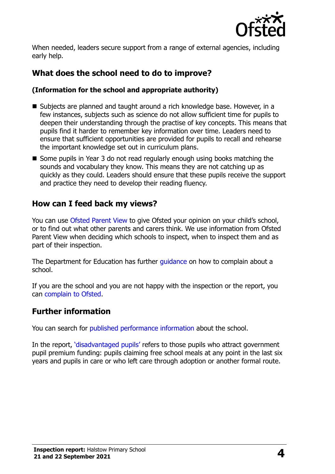

When needed, leaders secure support from a range of external agencies, including early help.

# **What does the school need to do to improve?**

#### **(Information for the school and appropriate authority)**

- Subjects are planned and taught around a rich knowledge base. However, in a few instances, subjects such as science do not allow sufficient time for pupils to deepen their understanding through the practise of key concepts. This means that pupils find it harder to remember key information over time. Leaders need to ensure that sufficient opportunities are provided for pupils to recall and rehearse the important knowledge set out in curriculum plans.
- Some pupils in Year 3 do not read regularly enough using books matching the sounds and vocabulary they know. This means they are not catching up as quickly as they could. Leaders should ensure that these pupils receive the support and practice they need to develop their reading fluency.

### **How can I feed back my views?**

You can use [Ofsted Parent View](http://parentview.ofsted.gov.uk/) to give Ofsted your opinion on your child's school, or to find out what other parents and carers think. We use information from Ofsted Parent View when deciding which schools to inspect, when to inspect them and as part of their inspection.

The Department for Education has further quidance on how to complain about a school.

If you are the school and you are not happy with the inspection or the report, you can [complain to Ofsted.](http://www.gov.uk/complain-ofsted-report)

### **Further information**

You can search for [published performance information](http://www.compare-school-performance.service.gov.uk/) about the school.

In the report, '[disadvantaged pupils](http://www.gov.uk/guidance/pupil-premium-information-for-schools-and-alternative-provision-settings)' refers to those pupils who attract government pupil premium funding: pupils claiming free school meals at any point in the last six years and pupils in care or who left care through adoption or another formal route.

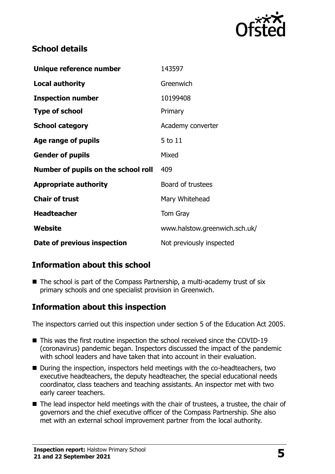

# **School details**

| Unique reference number             | 143597                        |
|-------------------------------------|-------------------------------|
| <b>Local authority</b>              | Greenwich                     |
| <b>Inspection number</b>            | 10199408                      |
| <b>Type of school</b>               | Primary                       |
| <b>School category</b>              | Academy converter             |
| Age range of pupils                 | 5 to 11                       |
| <b>Gender of pupils</b>             | Mixed                         |
| Number of pupils on the school roll | 409                           |
| <b>Appropriate authority</b>        | Board of trustees             |
| <b>Chair of trust</b>               | Mary Whitehead                |
| <b>Headteacher</b>                  | Tom Gray                      |
| Website                             | www.halstow.greenwich.sch.uk/ |
| Date of previous inspection         | Not previously inspected      |

# **Information about this school**

 $\blacksquare$  The school is part of the Compass Partnership, a multi-academy trust of six primary schools and one specialist provision in Greenwich.

# **Information about this inspection**

The inspectors carried out this inspection under section 5 of the Education Act 2005.

- This was the first routine inspection the school received since the COVID-19 (coronavirus) pandemic began. Inspectors discussed the impact of the pandemic with school leaders and have taken that into account in their evaluation.
- During the inspection, inspectors held meetings with the co-headteachers, two executive headteachers, the deputy headteacher, the special educational needs coordinator, class teachers and teaching assistants. An inspector met with two early career teachers.
- The lead inspector held meetings with the chair of trustees, a trustee, the chair of governors and the chief executive officer of the Compass Partnership. She also met with an external school improvement partner from the local authority.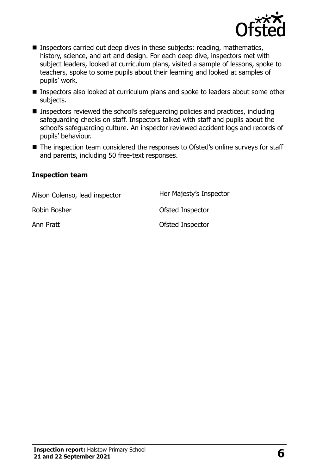

- Inspectors carried out deep dives in these subjects: reading, mathematics, history, science, and art and design. For each deep dive, inspectors met with subject leaders, looked at curriculum plans, visited a sample of lessons, spoke to teachers, spoke to some pupils about their learning and looked at samples of pupils' work.
- Inspectors also looked at curriculum plans and spoke to leaders about some other subjects.
- Inspectors reviewed the school's safeguarding policies and practices, including safeguarding checks on staff. Inspectors talked with staff and pupils about the school's safeguarding culture. An inspector reviewed accident logs and records of pupils' behaviour.
- The inspection team considered the responses to Ofsted's online surveys for staff and parents, including 50 free-text responses.

#### **Inspection team**

Alison Colenso, lead inspector Her Majesty's Inspector Robin Bosher **National State Inspector** Ofsted Inspector Ann Pratt **Calculation Control** Control Control Control Control Control Control Control Control Control Control Control Control Control Control Control Control Control Control Control Control Control Control Control Contro